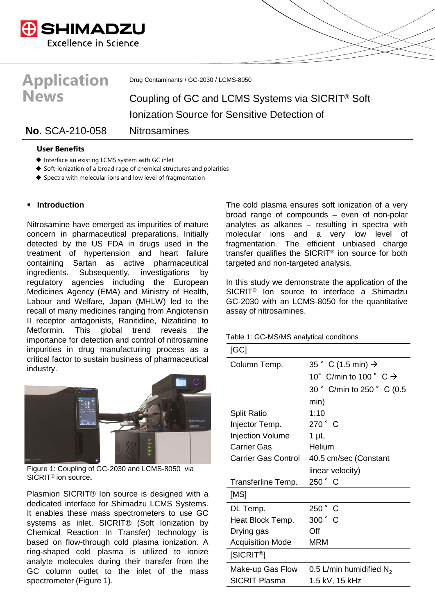

# **Application News**

Drug Contaminants / GC-2030 / LCMS-8050

Coupling of GC and LCMS Systems via SICRIT® Soft Ionization Source for Sensitive Detection of

# No. SCA-210-058 | Nitrosamines

## **User Benefits**

- ◆ Interface an existing LCMS system with GC inlet
- Soft-ionization of a broad rage of chemical structures and polarities
- $\blacklozenge$  Spectra with molecular ions and low level of fragmentation

# **Introduction**

Nitrosamine have emerged as impurities of mature concern in pharmaceutical preparations. Initially detected by the US FDA in drugs used in the treatment of hypertension and heart failure containing Sartan as active pharmaceutical ingredients. Subsequently, investigations by regulatory agencies including the European Medicines Agency (EMA) and Ministry of Health, Labour and Welfare, Japan (MHLW) led to the recall of many medicines ranging from Angiotensin II receptor antagonists, Ranitidine, Nizatidine to Metformin. This global trend reveals the importance for detection and control of nitrosamine impurities in drug manufacturing process as a critical factor to sustain business of pharmaceutical industry.



Figure 1: Coupling of GC-2030 and LCMS-8050 via SICRIT® ion source**.** 

Plasmion SICRIT® Ion source is designed with a dedicated interface for Shimadzu LCMS Systems. It enables these mass spectrometers to use GC systems as inlet. SICRIT® (Soft Ionization by Chemical Reaction In Transfer) technology is based on flow-through cold plasma ionization. A ring-shaped cold plasma is utilized to ionize analyte molecules during their transfer from the GC column outlet to the inlet of the mass spectrometer (Figure 1).

The cold plasma ensures soft ionization of a very broad range of compounds – even of non-polar analytes as alkanes – resulting in spectra with molecular ions and a very low level of fragmentation. The efficient unbiased charge transfer qualifies the SICRIT® ion source for both targeted and non-targeted analysis.

In this study we demonstrate the application of the SICRIT® Ion source to interface a Shimadzu GC-2030 with an LCMS-8050 for the quantitative assay of nitrosamines.

Table 1: GC-MS/MS analytical conditions

| [GC]                       |                                         |  |  |  |
|----------------------------|-----------------------------------------|--|--|--|
| Column Temp.               | 35 $^{\circ}$ C (1.5 min) $\rightarrow$ |  |  |  |
|                            | 10° C/min to 100 ° C $\rightarrow$      |  |  |  |
|                            | 30 ° C/min to 250 ° C (0.5              |  |  |  |
|                            | min)                                    |  |  |  |
| <b>Split Ratio</b>         | 1:10                                    |  |  |  |
| Injector Temp.             | $270 \degree$ C                         |  |  |  |
| <b>Injection Volume</b>    | 1 $\mu$ L                               |  |  |  |
| Carrier Gas                | Helium                                  |  |  |  |
| <b>Carrier Gas Control</b> | 40.5 cm/sec (Constant                   |  |  |  |
|                            | linear velocity)                        |  |  |  |
| Transferline Temp.         | 250 °C                                  |  |  |  |
| [MS]                       |                                         |  |  |  |
| DL Temp.                   | 250°<br>C                               |  |  |  |
| Heat Block Temp.           | 300° C                                  |  |  |  |
| Drying gas                 | Off                                     |  |  |  |
| <b>Acquisition Mode</b>    | <b>MRM</b>                              |  |  |  |
| [SICRIT <sup>®</sup> ]     |                                         |  |  |  |
| Make-up Gas Flow           | 0.5 L/min humidified $N_2$              |  |  |  |
| <b>SICRIT Plasma</b>       | 1.5 kV, 15 kHz                          |  |  |  |
|                            |                                         |  |  |  |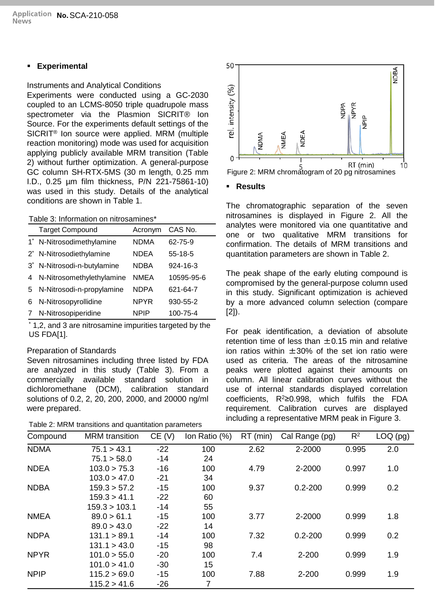# **Experimental**

# Instruments and Analytical Conditions

Experiments were conducted using a GC-2030 coupled to an LCMS-8050 triple quadrupole mass spectrometer via the Plasmion SICRIT® Ion Source. For the experiments default settings of the SICRIT® Ion source were applied. MRM (multiple reaction monitoring) mode was used for acquisition applying publicly available MRM transition (Table 2) without further optimization. A general-purpose GC column SH-RTX-5MS (30 m length, 0.25 mm I.D., 0.25 µm film thickness, P/N 221-75861-10) was used in this study. Details of the analytical conditions are shown in Table 1.

#### Table 3: Information on nitrosamines\*

|       | <b>Target Compound</b>               | Acronym     | CAS No.        |
|-------|--------------------------------------|-------------|----------------|
| $1^*$ | N-Nitrosodimethylamine               | <b>NDMA</b> | 62-75-9        |
|       | 2 <sup>*</sup> N-Nitrosodiethylamine | <b>NDEA</b> | $55-18-5$      |
| $3^*$ | N-Nitrosodi-n-butylamine             | <b>NDBA</b> | $924 - 16 - 3$ |
| 4     | N-Nitrosomethylethylamine            | NMEA        | 10595-95-6     |
| 5     | N-Nitrosodi-n-propylamine            | <b>NDPA</b> | 621-64-7       |
| 6     | N-Nitrosopyrollidine                 | <b>NPYR</b> | 930-55-2       |
|       | N-Nitrosopiperidine                  | <b>NPIP</b> | 100-75-4       |

\* 1,2, and 3 are nitrosamine impurities targeted by the US FDA[1].

## Preparation of Standards

Seven nitrosamines including three listed by FDA are analyzed in this study (Table 3). From a commercially available standard solution in dichloromethane (DCM), calibration standard solutions of 0.2, 2, 20, 200, 2000, and 20000 ng/ml were prepared.





# **Results**

The chromatographic separation of the seven nitrosamines is displayed in Figure 2. All the analytes were monitored via one quantitative and one or two qualitative MRM transitions for confirmation. The details of MRM transitions and quantitation parameters are shown in Table 2.

The peak shape of the early eluting compound is compromised by the general-purpose column used in this study. Significant optimization is achieved by a more advanced column selection (compare [2]).

For peak identification, a deviation of absolute retention time of less than  $\pm 0.15$  min and relative ion ratios within  $\pm 30\%$  of the set ion ratio were used as criteria. The areas of the nitrosamine peaks were plotted against their amounts on column. All linear calibration curves without the use of internal standards displayed correlation coefficients, R2≥0.998, which fulfils the FDA requirement. Calibration curves are displayed including a representative MRM peak in Figure 3.

| Compound    | <b>MRM</b> transition | CE(V) | Ion Ratio (%) | $RT$ (min) | Cal Range (pg) | $R^2$ | $LOQ$ (pg) |
|-------------|-----------------------|-------|---------------|------------|----------------|-------|------------|
| <b>NDMA</b> | 75.1 > 43.1           | $-22$ | 100           | 2.62       | 2-2000         | 0.995 | 2.0        |
|             | 75.1 > 58.0           | $-14$ | 24            |            |                |       |            |
| <b>NDEA</b> | 103.0 > 75.3          | $-16$ | 100           | 4.79       | 2-2000         | 0.997 | 1.0        |
|             | 103.0 > 47.0          | $-21$ | 34            |            |                |       |            |
| <b>NDBA</b> | 159.3 > 57.2          | $-15$ | 100           | 9.37       | $0.2 - 200$    | 0.999 | 0.2        |
|             | 159.3 > 41.1          | $-22$ | 60            |            |                |       |            |
|             | 159.3 > 103.1         | $-14$ | 55            |            |                |       |            |
| <b>NMEA</b> | 89.0 > 61.1           | $-15$ | 100           | 3.77       | 2-2000         | 0.999 | 1.8        |
|             | 89.0 > 43.0           | $-22$ | 14            |            |                |       |            |
| <b>NDPA</b> | 131.1 > 89.1          | $-14$ | 100           | 7.32       | $0.2 - 200$    | 0.999 | 0.2        |
|             | 131.1 > 43.0          | $-15$ | 98            |            |                |       |            |
| <b>NPYR</b> | 101.0 > 55.0          | $-20$ | 100           | 7.4        | $2 - 200$      | 0.999 | 1.9        |
|             | 101.0 > 41.0          | $-30$ | 15            |            |                |       |            |
| <b>NPIP</b> | 115.2 > 69.0          | $-15$ | 100           | 7.88       | $2 - 200$      | 0.999 | 1.9        |
|             | 115.2 > 41.6          | $-26$ | 7             |            |                |       |            |